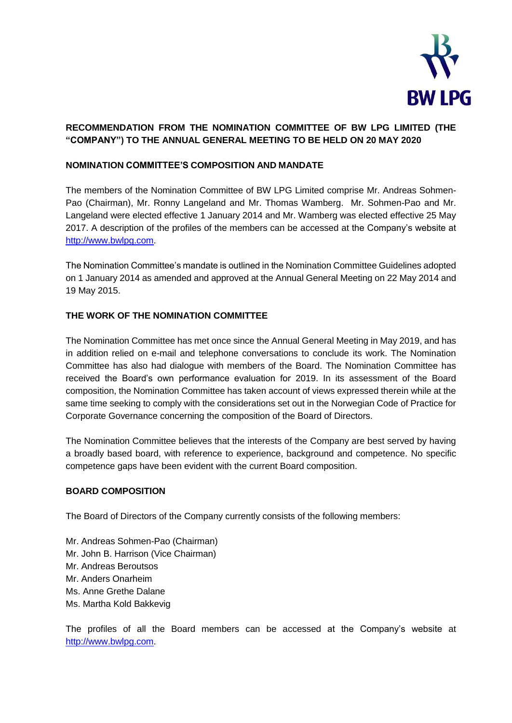

# **RECOMMENDATION FROM THE NOMINATION COMMITTEE OF BW LPG LIMITED (THE "COMPANY") TO THE ANNUAL GENERAL MEETING TO BE HELD ON 20 MAY 2020**

## **NOMINATION COMMITTEE'S COMPOSITION AND MANDATE**

The members of the Nomination Committee of BW LPG Limited comprise Mr. Andreas Sohmen-Pao (Chairman), Mr. Ronny Langeland and Mr. Thomas Wamberg. Mr. Sohmen-Pao and Mr. Langeland were elected effective 1 January 2014 and Mr. Wamberg was elected effective 25 May 2017. A description of the profiles of the members can be accessed at the Company's website at [http://www.bwlpg.com.](http://www.bwlpg.com/)

The Nomination Committee's mandate is outlined in the Nomination Committee Guidelines adopted on 1 January 2014 as amended and approved at the Annual General Meeting on 22 May 2014 and 19 May 2015.

### **THE WORK OF THE NOMINATION COMMITTEE**

The Nomination Committee has met once since the Annual General Meeting in May 2019, and has in addition relied on e-mail and telephone conversations to conclude its work. The Nomination Committee has also had dialogue with members of the Board. The Nomination Committee has received the Board's own performance evaluation for 2019. In its assessment of the Board composition, the Nomination Committee has taken account of views expressed therein while at the same time seeking to comply with the considerations set out in the Norwegian Code of Practice for Corporate Governance concerning the composition of the Board of Directors.

The Nomination Committee believes that the interests of the Company are best served by having a broadly based board, with reference to experience, background and competence. No specific competence gaps have been evident with the current Board composition.

#### **BOARD COMPOSITION**

The Board of Directors of the Company currently consists of the following members:

Mr. Andreas Sohmen-Pao (Chairman) Mr. John B. Harrison (Vice Chairman) Mr. Andreas Beroutsos Mr. Anders Onarheim Ms. Anne Grethe Dalane Ms. Martha Kold Bakkevig

The profiles of all the Board members can be accessed at the Company's website at [http://www.bwlpg.com.](http://www.bwlpg.com/)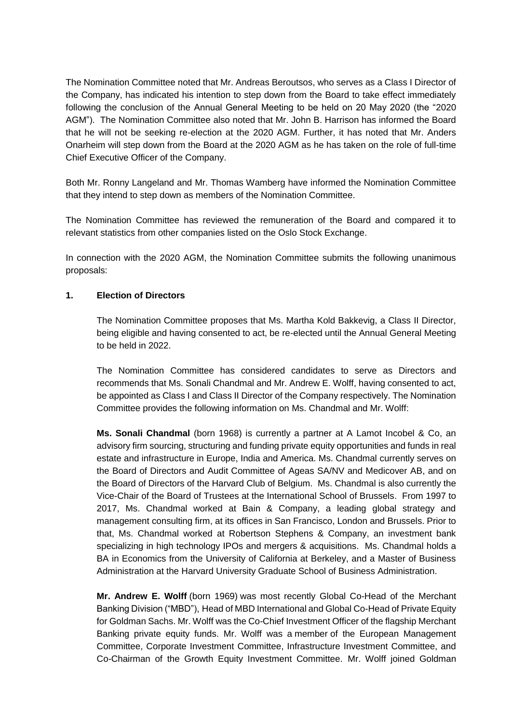The Nomination Committee noted that Mr. Andreas Beroutsos, who serves as a Class I Director of the Company, has indicated his intention to step down from the Board to take effect immediately following the conclusion of the Annual General Meeting to be held on 20 May 2020 (the "2020 AGM"). The Nomination Committee also noted that Mr. John B. Harrison has informed the Board that he will not be seeking re-election at the 2020 AGM. Further, it has noted that Mr. Anders Onarheim will step down from the Board at the 2020 AGM as he has taken on the role of full-time Chief Executive Officer of the Company.

Both Mr. Ronny Langeland and Mr. Thomas Wamberg have informed the Nomination Committee that they intend to step down as members of the Nomination Committee.

The Nomination Committee has reviewed the remuneration of the Board and compared it to relevant statistics from other companies listed on the Oslo Stock Exchange.

In connection with the 2020 AGM, the Nomination Committee submits the following unanimous proposals:

#### **1. Election of Directors**

The Nomination Committee proposes that Ms. Martha Kold Bakkevig, a Class II Director, being eligible and having consented to act, be re-elected until the Annual General Meeting to be held in 2022.

The Nomination Committee has considered candidates to serve as Directors and recommends that Ms. Sonali Chandmal and Mr. Andrew E. Wolff, having consented to act, be appointed as Class I and Class II Director of the Company respectively. The Nomination Committee provides the following information on Ms. Chandmal and Mr. Wolff:

**Ms. Sonali Chandmal** (born 1968) is currently a partner at A Lamot Incobel & Co, an advisory firm sourcing, structuring and funding private equity opportunities and funds in real estate and infrastructure in Europe, India and America. Ms. Chandmal currently serves on the Board of Directors and Audit Committee of Ageas SA/NV and Medicover AB, and on the Board of Directors of the Harvard Club of Belgium. Ms. Chandmal is also currently the Vice-Chair of the Board of Trustees at the International School of Brussels. From 1997 to 2017, Ms. Chandmal worked at Bain & Company, a leading global strategy and management consulting firm, at its offices in San Francisco, London and Brussels. Prior to that, Ms. Chandmal worked at Robertson Stephens & Company, an investment bank specializing in high technology IPOs and mergers & acquisitions. Ms. Chandmal holds a BA in Economics from the University of California at Berkeley, and a Master of Business Administration at the Harvard University Graduate School of Business Administration.

**Mr. Andrew E. Wolff** (born 1969) was most recently Global Co-Head of the Merchant Banking Division ("MBD"), Head of MBD International and Global Co-Head of Private Equity for Goldman Sachs. Mr. Wolff was the Co-Chief Investment Officer of the flagship Merchant Banking private equity funds. Mr. Wolff was a member of the European Management Committee, Corporate Investment Committee, Infrastructure Investment Committee, and Co-Chairman of the Growth Equity Investment Committee. Mr. Wolff joined Goldman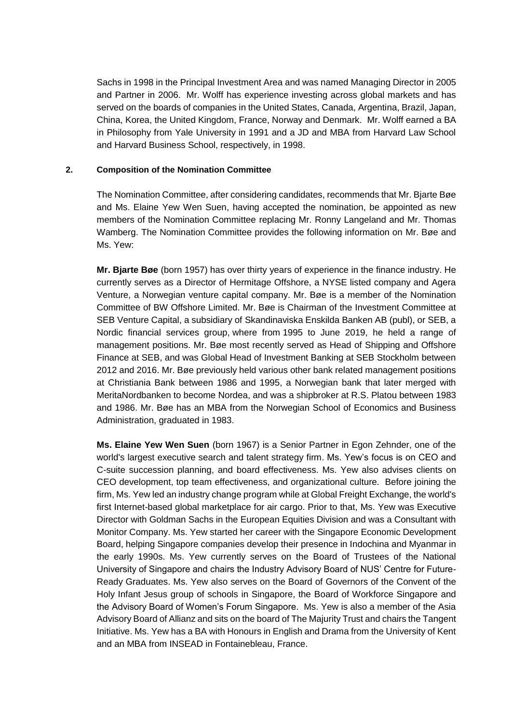Sachs in 1998 in the Principal Investment Area and was named Managing Director in 2005 and Partner in 2006. Mr. Wolff has experience investing across global markets and has served on the boards of companies in the United States, Canada, Argentina, Brazil, Japan, China, Korea, the United Kingdom, France, Norway and Denmark. Mr. Wolff earned a BA in Philosophy from Yale University in 1991 and a JD and MBA from Harvard Law School and Harvard Business School, respectively, in 1998.

#### **2. Composition of the Nomination Committee**

The Nomination Committee, after considering candidates, recommends that Mr. Bjarte Bøe and Ms. Elaine Yew Wen Suen, having accepted the nomination, be appointed as new members of the Nomination Committee replacing Mr. Ronny Langeland and Mr. Thomas Wamberg. The Nomination Committee provides the following information on Mr. Bøe and Ms. Yew:

**Mr. Bjarte Bøe** (born 1957) has over thirty years of experience in the finance industry. He currently serves as a Director of Hermitage Offshore, a NYSE listed company and Agera Venture, a Norwegian venture capital company. Mr. Bøe is a member of the Nomination Committee of BW Offshore Limited. Mr. Bøe is Chairman of the Investment Committee at SEB Venture Capital, a subsidiary of Skandinaviska Enskilda Banken AB (publ), or SEB, a Nordic financial services group, where from 1995 to June 2019, he held a range of management positions. Mr. Bøe most recently served as Head of Shipping and Offshore Finance at SEB, and was Global Head of Investment Banking at SEB Stockholm between 2012 and 2016. Mr. Bøe previously held various other bank related management positions at Christiania Bank between 1986 and 1995, a Norwegian bank that later merged with MeritaNordbanken to become Nordea, and was a shipbroker at R.S. Platou between 1983 and 1986. Mr. Bøe has an MBA from the Norwegian School of Economics and Business Administration, graduated in 1983.

**Ms. Elaine Yew Wen Suen** (born 1967) is a Senior Partner in Egon Zehnder, one of the world's largest executive search and talent strategy firm. Ms. Yew's focus is on CEO and C-suite succession planning, and board effectiveness. Ms. Yew also advises clients on CEO development, top team effectiveness, and organizational culture. Before joining the firm, Ms. Yew led an industry change program while at Global Freight Exchange, the world's first Internet-based global marketplace for air cargo. Prior to that, Ms. Yew was Executive Director with Goldman Sachs in the European Equities Division and was a Consultant with Monitor Company. Ms. Yew started her career with the Singapore Economic Development Board, helping Singapore companies develop their presence in Indochina and Myanmar in the early 1990s. Ms. Yew currently serves on the Board of Trustees of the National University of Singapore and chairs the Industry Advisory Board of NUS' Centre for Future-Ready Graduates. Ms. Yew also serves on the Board of Governors of the Convent of the Holy Infant Jesus group of schools in Singapore, the Board of Workforce Singapore and the Advisory Board of Women's Forum Singapore. Ms. Yew is also a member of the Asia Advisory Board of Allianz and sits on the board of The Majurity Trust and chairs the Tangent Initiative. Ms. Yew has a BA with Honours in English and Drama from the University of Kent and an MBA from INSEAD in Fontainebleau, France.